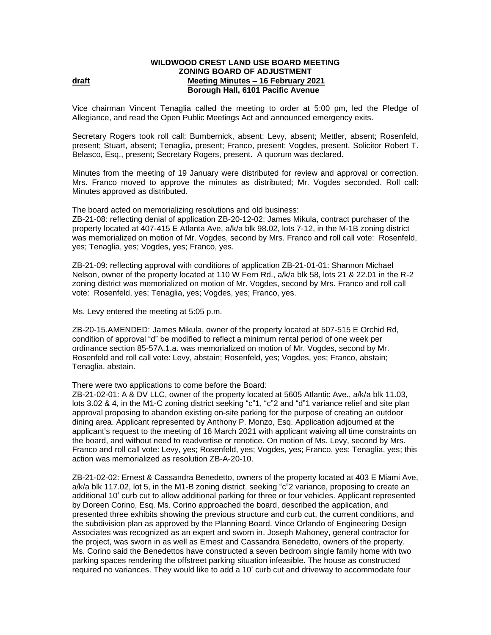## **WILDWOOD CREST LAND USE BOARD MEETING ZONING BOARD OF ADJUSTMENT draft Meeting Minutes – 16 February 2021 Borough Hall, 6101 Pacific Avenue**

Vice chairman Vincent Tenaglia called the meeting to order at 5:00 pm, led the Pledge of Allegiance, and read the Open Public Meetings Act and announced emergency exits.

Secretary Rogers took roll call: Bumbernick, absent; Levy, absent; Mettler, absent; Rosenfeld, present; Stuart, absent; Tenaglia, present; Franco, present; Vogdes, present. Solicitor Robert T. Belasco, Esq., present; Secretary Rogers, present.A quorum was declared.

Minutes from the meeting of 19 January were distributed for review and approval or correction. Mrs. Franco moved to approve the minutes as distributed; Mr. Vogdes seconded. Roll call: Minutes approved as distributed.

The board acted on memorializing resolutions and old business:

ZB-21-08: reflecting denial of application ZB-20-12-02: James Mikula, contract purchaser of the property located at 407-415 E Atlanta Ave, a/k/a blk 98.02, lots 7-12, in the M-1B zoning district was memorialized on motion of Mr. Vogdes, second by Mrs. Franco and roll call vote: Rosenfeld, yes; Tenaglia, yes; Vogdes, yes; Franco, yes.

ZB-21-09: reflecting approval with conditions of application ZB-21-01-01: Shannon Michael Nelson, owner of the property located at 110 W Fern Rd., a/k/a blk 58, lots 21 & 22.01 in the R-2 zoning district was memorialized on motion of Mr. Vogdes, second by Mrs. Franco and roll call vote: Rosenfeld, yes; Tenaglia, yes; Vogdes, yes; Franco, yes.

Ms. Levy entered the meeting at 5:05 p.m.

ZB-20-15.AMENDED: James Mikula, owner of the property located at 507-515 E Orchid Rd, condition of approval "d" be modified to reflect a minimum rental period of one week per ordinance section 85-57A.1.a. was memorialized on motion of Mr. Vogdes, second by Mr. Rosenfeld and roll call vote: Levy, abstain; Rosenfeld, yes; Vogdes, yes; Franco, abstain; Tenaglia, abstain.

There were two applications to come before the Board:

ZB-21-02-01: A & DV LLC, owner of the property located at 5605 Atlantic Ave., a/k/a blk 11.03, lots 3.02 & 4, in the M1-C zoning district seeking "c"1, "c"2 and "d"1 variance relief and site plan approval proposing to abandon existing on-site parking for the purpose of creating an outdoor dining area. Applicant represented by Anthony P. Monzo, Esq. Application adjourned at the applicant's request to the meeting of 16 March 2021 with applicant waiving all time constraints on the board, and without need to readvertise or renotice. On motion of Ms. Levy, second by Mrs. Franco and roll call vote: Levy, yes; Rosenfeld, yes; Vogdes, yes; Franco, yes; Tenaglia, yes; this action was memorialized as resolution ZB-A-20-10.

ZB-21-02-02: Ernest & Cassandra Benedetto, owners of the property located at 403 E Miami Ave, a/k/a blk 117.02, lot 5, in the M1-B zoning district, seeking "c"2 variance, proposing to create an additional 10' curb cut to allow additional parking for three or four vehicles. Applicant represented by Doreen Corino, Esq. Ms. Corino approached the board, described the application, and presented three exhibits showing the previous structure and curb cut, the current conditions, and the subdivision plan as approved by the Planning Board. Vince Orlando of Engineering Design Associates was recognized as an expert and sworn in. Joseph Mahoney, general contractor for the project, was sworn in as well as Ernest and Cassandra Benedetto, owners of the property. Ms. Corino said the Benedettos have constructed a seven bedroom single family home with two parking spaces rendering the offstreet parking situation infeasible. The house as constructed required no variances. They would like to add a 10' curb cut and driveway to accommodate four